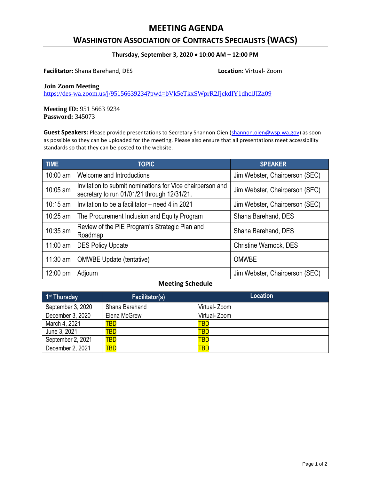## **MEETING AGENDA**

## **WASHINGTON ASSOCIATION OF CONTRACTS SPECIALISTS (WACS)**

#### **Thursday, September 3, 2020 10:00 AM – 12:00 PM**

**Facilitator:** Shana Barehand, DES **Location:** Virtual- Zoom

#### **Join Zoom Meeting**

<https://des-wa.zoom.us/j/95156639234?pwd=bVk5eTkxSWprR2JjckdIY1dhclJIZz09>

**Meeting ID:** 951 5663 9234 **Password:** 345073

Guest Speakers: Please provide presentations to Secretary Shannon Oien [\(shannon.oien@wsp.wa.gov\)](mailto:shannon.oien@wsp.wa.gov) as soon as possible so they can be uploaded for the meeting. Please also ensure that all presentations meet accessibility standards so that they can be posted to the website.

| <b>TIME</b>        | <b>TOPIC</b>                                                                                             | <b>SPEAKER</b>                 |
|--------------------|----------------------------------------------------------------------------------------------------------|--------------------------------|
| 10:00 am           | Welcome and Introductions                                                                                | Jim Webster, Chairperson (SEC) |
| 10:05 am           | Invitation to submit nominations for Vice chairperson and<br>secretary to run 01/01/21 through 12/31/21. | Jim Webster, Chairperson (SEC) |
| $10:15$ am         | Invitation to be a facilitator – need 4 in 2021                                                          | Jim Webster, Chairperson (SEC) |
| $10:25$ am         | The Procurement Inclusion and Equity Program                                                             | Shana Barehand, DES            |
| 10:35 am           | Review of the PIE Program's Strategic Plan and<br>Roadmap                                                | Shana Barehand, DES            |
| $11:00$ am         | <b>DES Policy Update</b>                                                                                 | <b>Christine Warnock, DES</b>  |
| $11:30$ am         | <b>OMWBE Update (tentative)</b>                                                                          | <b>OMWBE</b>                   |
| $12:00 \text{ pm}$ | Adjourn                                                                                                  | Jim Webster, Chairperson (SEC) |

### **Meeting Schedule**

| 1 <sup>st</sup> Thursday | <b>Facilitator(s)</b> | <b>Location</b> |
|--------------------------|-----------------------|-----------------|
| September 3, 2020        | Shana Barehand        | Virtual- Zoom   |
| December 3, 2020         | Elena McGrew          | Virtual- Zoom   |
| March 4, 2021            | TBD                   | <b>TBD</b>      |
| June 3, 2021             | TBD                   | <b>TBD</b>      |
| September 2, 2021        | <b>TBD</b>            | <b>TBD</b>      |
| December 2, 2021         | <b>TBD</b>            | <b>TBD</b>      |